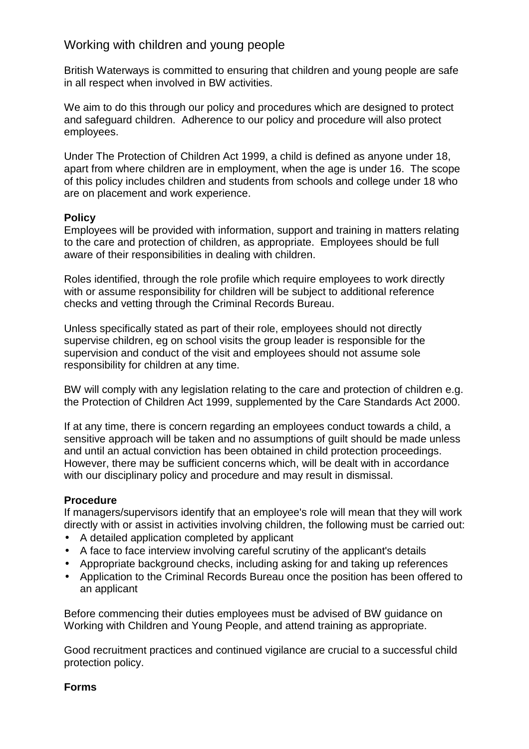# Working with children and young people

British Waterways is committed to ensuring that children and young people are safe in all respect when involved in BW activities.

We aim to do this through our policy and procedures which are designed to protect and safeguard children. Adherence to our policy and procedure will also protect employees.

Under The Protection of Children Act 1999, a child is defined as anyone under 18, apart from where children are in employment, when the age is under 16. The scope of this policy includes children and students from schools and college under 18 who are on placement and work experience.

## **Policy**

Employees will be provided with information, support and training in matters relating to the care and protection of children, as appropriate. Employees should be full aware of their responsibilities in dealing with children.

Roles identified, through the role profile which require employees to work directly with or assume responsibility for children will be subject to additional reference checks and vetting through the Criminal Records Bureau.

Unless specifically stated as part of their role, employees should not directly supervise children, eg on school visits the group leader is responsible for the supervision and conduct of the visit and employees should not assume sole responsibility for children at any time.

BW will comply with any legislation relating to the care and protection of children e.g. the Protection of Children Act 1999, supplemented by the Care Standards Act 2000.

If at any time, there is concern regarding an employees conduct towards a child, a sensitive approach will be taken and no assumptions of guilt should be made unless and until an actual conviction has been obtained in child protection proceedings. However, there may be sufficient concerns which, will be dealt with in accordance with our disciplinary policy and procedure and may result in dismissal.

## **Procedure**

If managers/supervisors identify that an employee's role will mean that they will work directly with or assist in activities involving children, the following must be carried out:

- A detailed application completed by applicant
- A face to face interview involving careful scrutiny of the applicant's details
- Appropriate background checks, including asking for and taking up references
- Application to the Criminal Records Bureau once the position has been offered to an applicant

Before commencing their duties employees must be advised of BW guidance on Working with Children and Young People, and attend training as appropriate.

Good recruitment practices and continued vigilance are crucial to a successful child protection policy.

## **Forms**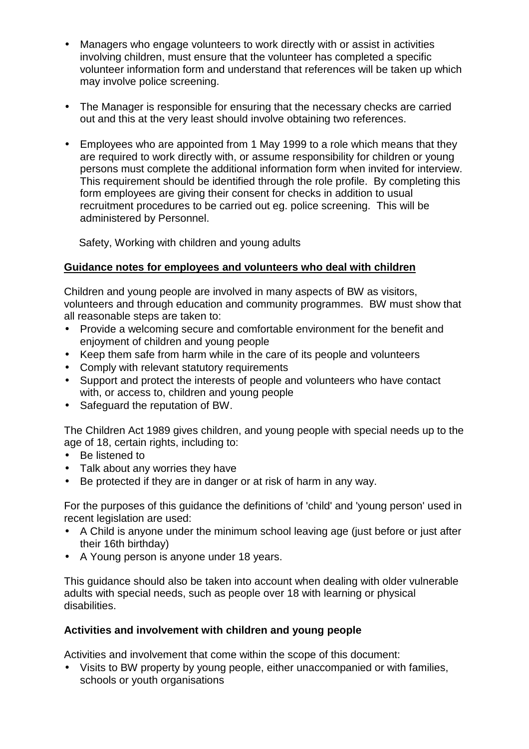- Managers who engage volunteers to work directly with or assist in activities involving children, must ensure that the volunteer has completed a specific volunteer information form and understand that references will be taken up which may involve police screening.
- The Manager is responsible for ensuring that the necessary checks are carried out and this at the very least should involve obtaining two references.
- Employees who are appointed from 1 May 1999 to a role which means that they are required to work directly with, or assume responsibility for children or young persons must complete the additional information form when invited for interview. This requirement should be identified through the role profile. By completing this form employees are giving their consent for checks in addition to usual recruitment procedures to be carried out eg. police screening. This will be administered by Personnel.

Safety, Working with children and young adults

## **Guidance notes for employees and volunteers who deal with children**

Children and young people are involved in many aspects of BW as visitors, volunteers and through education and community programmes. BW must show that all reasonable steps are taken to:

- Provide a welcoming secure and comfortable environment for the benefit and enjoyment of children and young people
- Keep them safe from harm while in the care of its people and volunteers
- Comply with relevant statutory requirements
- Support and protect the interests of people and volunteers who have contact with, or access to, children and young people
- Safeguard the reputation of BW.

The Children Act 1989 gives children, and young people with special needs up to the age of 18, certain rights, including to:

- Be listened to
- Talk about any worries they have
- Be protected if they are in danger or at risk of harm in any way.

For the purposes of this guidance the definitions of 'child' and 'young person' used in recent legislation are used:

- A Child is anyone under the minimum school leaving age (just before or just after their 16th birthday)
- A Young person is anyone under 18 years.

This guidance should also be taken into account when dealing with older vulnerable adults with special needs, such as people over 18 with learning or physical disabilities.

## **Activities and involvement with children and young people**

Activities and involvement that come within the scope of this document:

• Visits to BW property by young people, either unaccompanied or with families, schools or youth organisations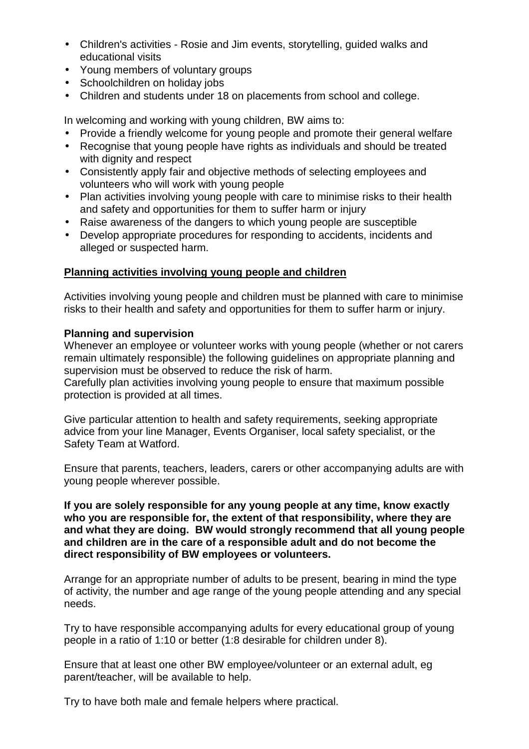- Children's activities Rosie and Jim events, storytelling, guided walks and educational visits
- Young members of voluntary groups
- Schoolchildren on holiday jobs
- Children and students under 18 on placements from school and college.

In welcoming and working with young children, BW aims to:

- Provide a friendly welcome for young people and promote their general welfare
- Recognise that young people have rights as individuals and should be treated with dignity and respect
- Consistently apply fair and objective methods of selecting employees and volunteers who will work with young people
- Plan activities involving young people with care to minimise risks to their health and safety and opportunities for them to suffer harm or injury
- Raise awareness of the dangers to which young people are susceptible
- Develop appropriate procedures for responding to accidents, incidents and alleged or suspected harm.

## **Planning activities involving young people and children**

Activities involving young people and children must be planned with care to minimise risks to their health and safety and opportunities for them to suffer harm or injury.

## **Planning and supervision**

Whenever an employee or volunteer works with young people (whether or not carers remain ultimately responsible) the following guidelines on appropriate planning and supervision must be observed to reduce the risk of harm.

Carefully plan activities involving young people to ensure that maximum possible protection is provided at all times.

Give particular attention to health and safety requirements, seeking appropriate advice from your line Manager, Events Organiser, local safety specialist, or the Safety Team at Watford.

Ensure that parents, teachers, leaders, carers or other accompanying adults are with young people wherever possible.

**If you are solely responsible for any young people at any time, know exactly who you are responsible for, the extent of that responsibility, where they are and what they are doing. BW would strongly recommend that all young people and children are in the care of a responsible adult and do not become the direct responsibility of BW employees or volunteers.**

Arrange for an appropriate number of adults to be present, bearing in mind the type of activity, the number and age range of the young people attending and any special needs.

Try to have responsible accompanying adults for every educational group of young people in a ratio of 1:10 or better (1:8 desirable for children under 8).

Ensure that at least one other BW employee/volunteer or an external adult, eg parent/teacher, will be available to help.

Try to have both male and female helpers where practical.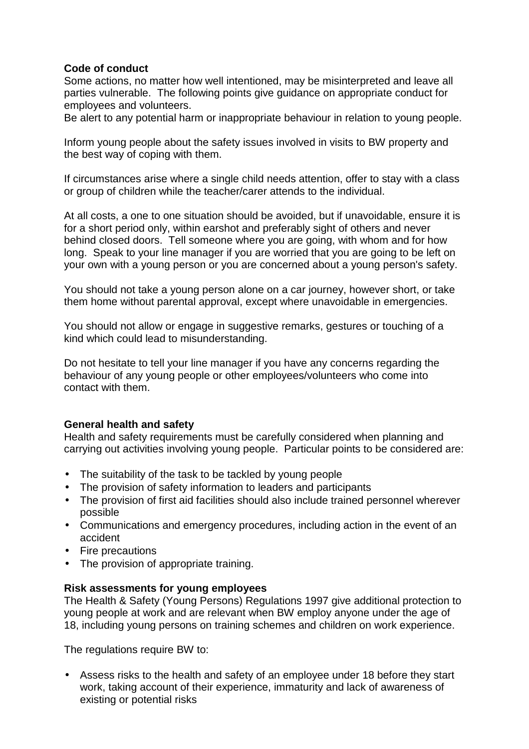## **Code of conduct**

Some actions, no matter how well intentioned, may be misinterpreted and leave all parties vulnerable. The following points give guidance on appropriate conduct for employees and volunteers.

Be alert to any potential harm or inappropriate behaviour in relation to young people.

Inform young people about the safety issues involved in visits to BW property and the best way of coping with them.

If circumstances arise where a single child needs attention, offer to stay with a class or group of children while the teacher/carer attends to the individual.

At all costs, a one to one situation should be avoided, but if unavoidable, ensure it is for a short period only, within earshot and preferably sight of others and never behind closed doors. Tell someone where you are going, with whom and for how long. Speak to your line manager if you are worried that you are going to be left on your own with a young person or you are concerned about a young person's safety.

You should not take a young person alone on a car journey, however short, or take them home without parental approval, except where unavoidable in emergencies.

You should not allow or engage in suggestive remarks, gestures or touching of a kind which could lead to misunderstanding.

Do not hesitate to tell your line manager if you have any concerns regarding the behaviour of any young people or other employees/volunteers who come into contact with them.

## **General health and safety**

Health and safety requirements must be carefully considered when planning and carrying out activities involving young people. Particular points to be considered are:

- The suitability of the task to be tackled by young people
- The provision of safety information to leaders and participants
- The provision of first aid facilities should also include trained personnel wherever possible
- Communications and emergency procedures, including action in the event of an accident
- Fire precautions
- The provision of appropriate training.

## **Risk assessments for young employees**

The Health & Safety (Young Persons) Regulations 1997 give additional protection to young people at work and are relevant when BW employ anyone under the age of 18, including young persons on training schemes and children on work experience.

The regulations require BW to:

• Assess risks to the health and safety of an employee under 18 before they start work, taking account of their experience, immaturity and lack of awareness of existing or potential risks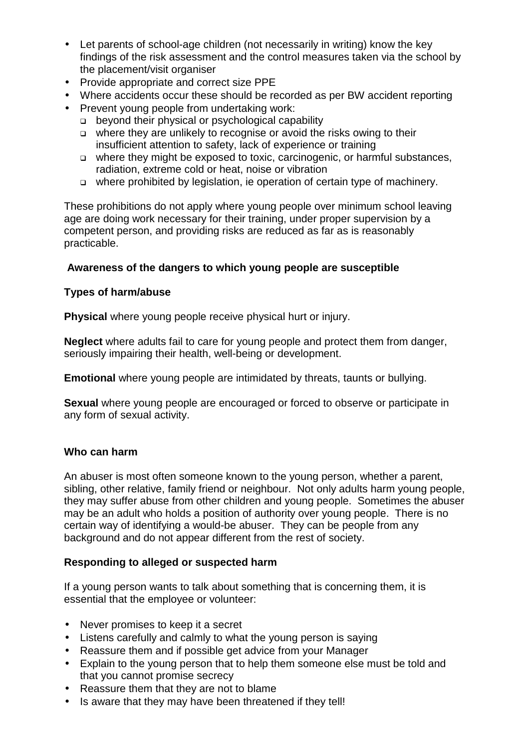- Let parents of school-age children (not necessarily in writing) know the key findings of the risk assessment and the control measures taken via the school by the placement/visit organiser
- Provide appropriate and correct size PPE
- Where accidents occur these should be recorded as per BW accident reporting
- Prevent young people from undertaking work:
	- beyond their physical or psychological capability
	- where they are unlikely to recognise or avoid the risks owing to their insufficient attention to safety, lack of experience or training
	- where they might be exposed to toxic, carcinogenic, or harmful substances, radiation, extreme cold or heat, noise or vibration
	- where prohibited by legislation, ie operation of certain type of machinery.

These prohibitions do not apply where young people over minimum school leaving age are doing work necessary for their training, under proper supervision by a competent person, and providing risks are reduced as far as is reasonably practicable.

## **Awareness of the dangers to which young people are susceptible**

## **Types of harm/abuse**

**Physical** where young people receive physical hurt or injury.

**Neglect** where adults fail to care for young people and protect them from danger, seriously impairing their health, well-being or development.

**Emotional** where young people are intimidated by threats, taunts or bullying.

**Sexual** where young people are encouraged or forced to observe or participate in any form of sexual activity.

## **Who can harm**

An abuser is most often someone known to the young person, whether a parent, sibling, other relative, family friend or neighbour. Not only adults harm young people, they may suffer abuse from other children and young people. Sometimes the abuser may be an adult who holds a position of authority over young people. There is no certain way of identifying a would-be abuser. They can be people from any background and do not appear different from the rest of society.

## **Responding to alleged or suspected harm**

If a young person wants to talk about something that is concerning them, it is essential that the employee or volunteer:

- Never promises to keep it a secret
- Listens carefully and calmly to what the young person is saying
- Reassure them and if possible get advice from your Manager
- Explain to the young person that to help them someone else must be told and that you cannot promise secrecy
- Reassure them that they are not to blame
- Is aware that they may have been threatened if they tell!